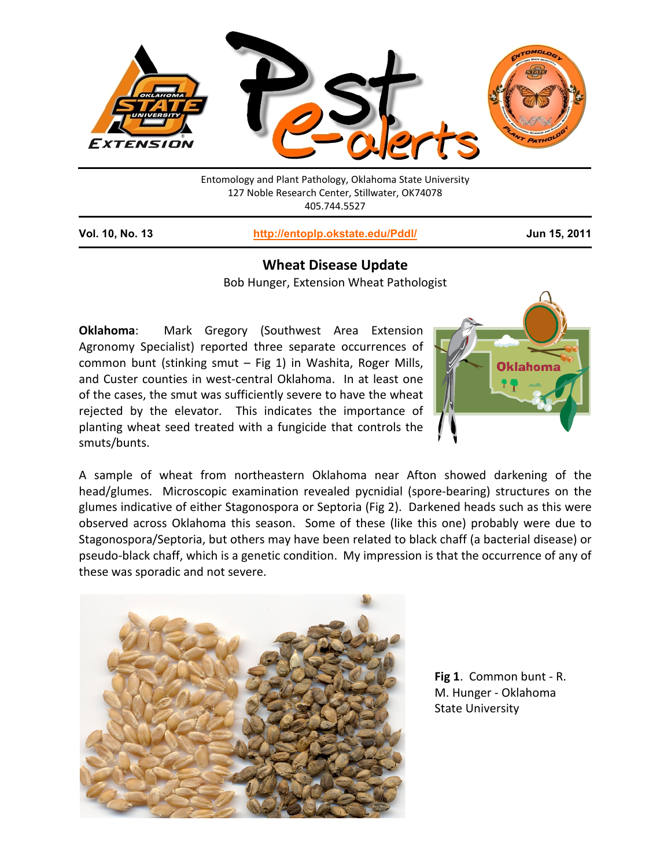

Entomology and Plant Pathology, Oklahoma State University 127 Noble Research Center, Stillwater, OK74078 405.744.5527

**Vol. 10, No. 13 <http://entoplp.okstate.edu/Pddl/> Jun 15, 2011**

## **Wheat Disease Update**

Bob Hunger, Extension Wheat Pathologist

**Oklahoma**: Mark Gregory (Southwest Area Extension Agronomy Specialist) reported three separate occurrences of common bunt (stinking smut – Fig 1) in Washita, Roger Mills, and Custer counties in west-central Oklahoma. In at least one of the cases, the smut was sufficiently severe to have the wheat rejected by the elevator. This indicates the importance of planting wheat seed treated with a fungicide that controls the smuts/bunts.



A sample of wheat from northeastern Oklahoma near Afton showed darkening of the head/glumes. Microscopic examination revealed pycnidial (spore-bearing) structures on the glumes indicative of either Stagonospora or Septoria (Fig 2). Darkened heads such as this were observed across Oklahoma this season. Some of these (like this one) probably were due to Stagonospora/Septoria, but others may have been related to black chaff (a bacterial disease) or pseudo-black chaff, which is a genetic condition. My impression is that the occurrence of any of these was sporadic and not severe.



**Fig 1**. Common bunt - R. M. Hunger - Oklahoma State University